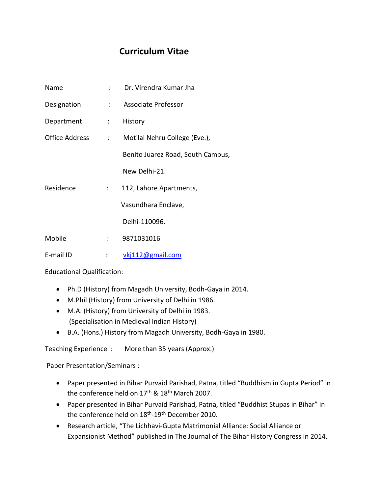## **Curriculum Vitae**

| Name           |                          | : Dr. Virendra Kumar Jha          |
|----------------|--------------------------|-----------------------------------|
| Designation    |                          | : Associate Professor             |
| Department     | $\mathbb{R}^n$           | History                           |
| Office Address | $\sim 1000$ km s $^{-1}$ | Motilal Nehru College (Eve.),     |
|                |                          | Benito Juarez Road, South Campus, |
|                |                          | New Delhi-21.                     |
| Residence      | $\mathbb{R}^{n}$         | 112, Lahore Apartments,           |
|                |                          | Vasundhara Enclave,               |
|                |                          | Delhi-110096.                     |
| Mobile         | $\mathcal{L}$            | 9871031016                        |
| E-mail ID      | :                        | vkj112@gmail.com                  |

Educational Qualification:

- Ph.D (History) from Magadh University, Bodh-Gaya in 2014.
- M.Phil (History) from University of Delhi in 1986.
- M.A. (History) from University of Delhi in 1983. (Specialisation in Medieval Indian History)
- B.A. (Hons.) History from Magadh University, Bodh-Gaya in 1980.

Teaching Experience : More than 35 years (Approx.)

Paper Presentation/Seminars :

- Paper presented in Bihar Purvaid Parishad, Patna, titled "Buddhism in Gupta Period" in the conference held on 17<sup>th</sup> & 18<sup>th</sup> March 2007.
- Paper presented in Bihar Purvaid Parishad, Patna, titled "Buddhist Stupas in Bihar" in the conference held on 18<sup>th</sup>-19<sup>th</sup> December 2010.
- Research article, "The Lichhavi-Gupta Matrimonial Alliance: Social Alliance or Expansionist Method" published in The Journal of The Bihar History Congress in 2014.